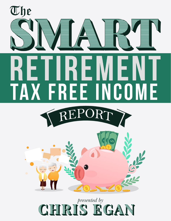

## presented by The SMART Retirement Tax Free Income Report | *presented by Chris Egan* 1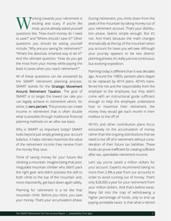orking towards your retirement is exciting and scary. If you're like most, you've already asked yourself questions like, "How much money do I need to save?" and "Where should I save it?" Other questions you should be asking yourself include, "Why are you saving for retirement?" "What's the absolute, smartest way to do it?" And the ultimate question, "How do you get the most from your money while paying the least in taxes when you reach retirement?" W

All of these questions can be answered by the SMART retirement planning process. SMART stands for the Strategic Movement Around Retirement Taxation. The goal of SMART is to target the lowest tax rate you can legally achieve in retirement which, for some, is **zero percent**. This process can create income in retirement that is often double what is possible through traditional financial planning methods on an after-tax basis.

Why is SMART so important today? SMART looks beyond just simply growing your account balance. It helps retirees maximize the value of the retirement income they receive from the money they save.

Think of saving money for your future like climbing a mountain. Imagine being that poor, misguided mountain climber who didn't pack the right gear and didn't possess the skill to both climb to the top of the mountain and, more importantly, get back down again safely.

Planning for retirement is a lot like that mountain climb. Before you retire, you save your money. That's your accumulation phase. During retirement, you climb down from the peak of the mountain by taking money out of your retirement account. That's your distribution phase. Seems simple enough. But it's not. And that's because the math changes dramatically at the top of the mountain when you account for taxes you will owe. Although your journey appears to be two distinct planning phases, it's really just one continuous, but evolving expedition.

Planning today is different than it was decades ago. Around the 1980's, pension plans began to be replaced by 401K plans. 401K's transferred the risk and the responsibility from the employer to the employee, but they didn't come with an instructional guide sufficient enough to help the employee understand how to maximize their retirement, the money they would get each month in their mailbox to live off of.

401K's and other contribution plans focus exclusively on the accumulation of money rather than the ongoing distributions that we need to live off of in retirement without consideration of their future tax liabilities. These funds can prove inefficient for creating sufficient after-tax, spendable retirement income.

Let's say you've saved a million dollars for your account. Experts recommend taking no more than 2.8% a year from our accounts in order to avoid running out of money. That's only \$28,000 a year for your retirement from your million dollars. And that's before taxes. Many fall into the trap of withdrawing a higher percentage of funds, only to end up paying avoidable taxes. Is that what a retired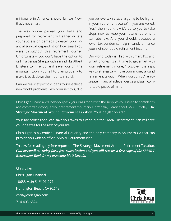millionaire in America should fall to? Now, that's not smart.

The way you've packed your bags and prepared for retirement will either dictate your success or, perhaps, threaten your financial survival, depending on how smart you were throughout this retirement journey. Unfortunately, you don't have the option to call in a genius Sherpa with a mind like Albert Einstein to hike up and save you on the mountain top if you fail to plan properly to make it back down the mountain safely.

Can we really expect old ideas to solve these new world problems? Ask yourself this, "Do you believe tax rates are going to be higher in your retirement years?" If you answered, "Yes," then you know it's up to you to take steps now to keep your future retirement tax rate low. And you should, because a lower tax burden can significantly enhance your net spendable retirement income.

Our world today is filled with Smart TVs and Smart phones. Isn't it time to get smart with your retirement money? Discover the right way to strategically move your money around retirement taxation. When you do, you'll enjoy greater financial independence and gain comfortable peace of mind.

Chris Egan Financial will help you pack your bags today with the supplies you'll need to confidently and comfortably conquer your retirement mountain. Don't delay. Learn about SMART today. **The Strategic Movement Around Retirement Taxation**. You'll be glad you did.

Your tax professional can save you taxes this year, but the SMART Retirement Plan will save you on taxes for the rest of your life!

Chris Egan is a Certified Financial Fiduciary and the only company in Southern CA that can provide you with an official SMART Retirement Plan.

Thanks for reading my free report on The Strategic Movement Around Retirement Taxation. *Call or email me today for a free consultation and you will receive a free copy of the SMART Retirement Book by my associate Matt Zagula.*

Chris Egan Chris Egan Financial 18685 Main St #101-277 Huntington Beach, CA 92648 chris@chrisegan.com 714-403-6824

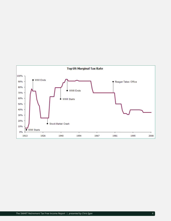